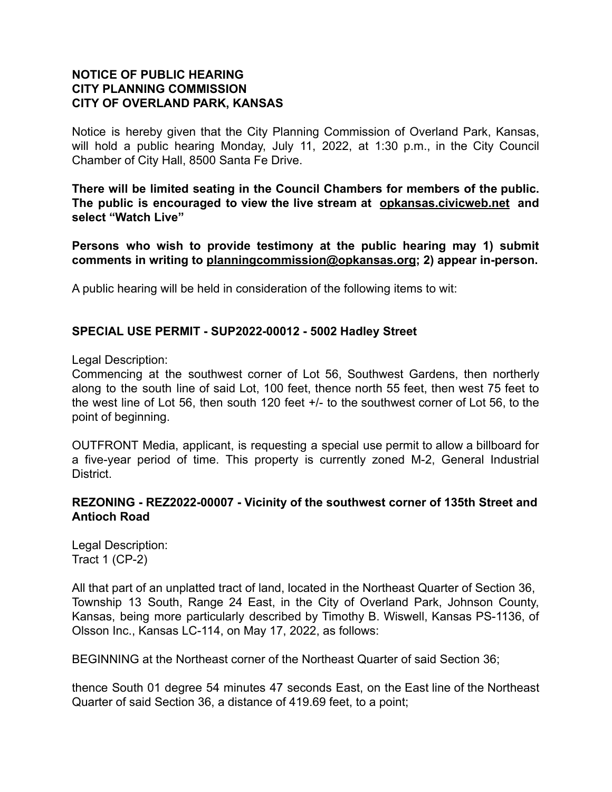# **NOTICE OF PUBLIC HEARING CITY PLANNING COMMISSION CITY OF OVERLAND PARK, KANSAS**

Notice is hereby given that the City Planning Commission of Overland Park, Kansas, will hold a public hearing Monday, July 11, 2022, at 1:30 p.m., in the City Council Chamber of City Hall, 8500 Santa Fe Drive.

**There will be limited seating in the Council Chambers for members of the public. The public is encouraged to view the live stream at [opkansas.civicweb.net](https://opkansas.civicweb.net/Portal/Video.aspx) and select "Watch Live"**

**Persons who wish to provide testimony at the public hearing may 1) submit comments in writing to [planningcommission@opkansas.org](mailto:planningcommission@opkansas.org); 2) appear in-person.**

A public hearing will be held in consideration of the following items to wit:

### **SPECIAL USE PERMIT - SUP2022-00012 - 5002 Hadley Street**

Legal Description:

Commencing at the southwest corner of Lot 56, Southwest Gardens, then northerly along to the south line of said Lot, 100 feet, thence north 55 feet, then west 75 feet to the west line of Lot 56, then south 120 feet +/- to the southwest corner of Lot 56, to the point of beginning.

OUTFRONT Media, applicant, is requesting a special use permit to allow a billboard for a five-year period of time. This property is currently zoned M-2, General Industrial District.

### **REZONING - REZ2022-00007 - Vicinity of the southwest corner of 135th Street and Antioch Road**

Legal Description: Tract 1 (CP-2)

All that part of an unplatted tract of land, located in the Northeast Quarter of Section 36, Township 13 South, Range 24 East, in the City of Overland Park, Johnson County, Kansas, being more particularly described by Timothy B. Wiswell, Kansas PS-1136, of Olsson Inc., Kansas LC-114, on May 17, 2022, as follows:

BEGINNING at the Northeast corner of the Northeast Quarter of said Section 36;

thence South 01 degree 54 minutes 47 seconds East, on the East line of the Northeast Quarter of said Section 36, a distance of 419.69 feet, to a point;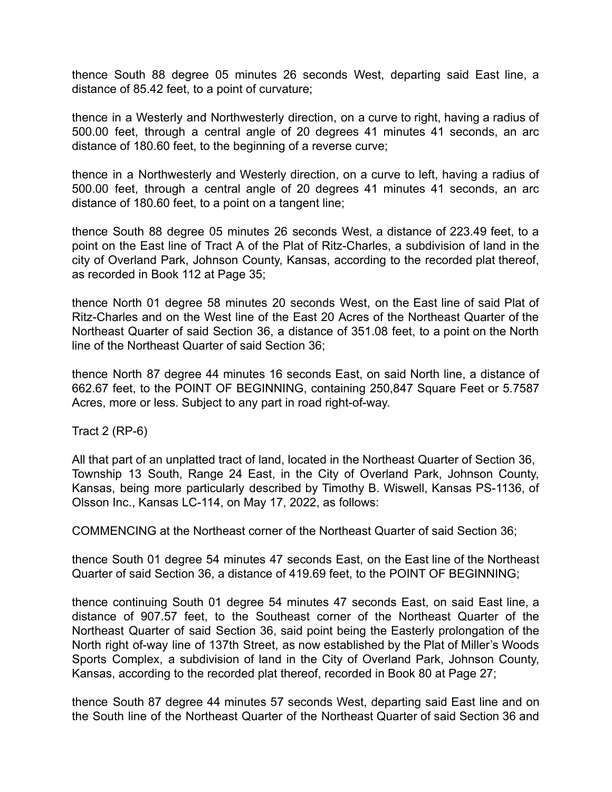thence South 88 degree 05 minutes 26 seconds West, departing said East line, a distance of 85.42 feet, to a point of curvature;

thence in a Westerly and Northwesterly direction, on a curve to right, having a radius of 500.00 feet, through a central angle of 20 degrees 41 minutes 41 seconds, an arc distance of 180.60 feet, to the beginning of a reverse curve;

thence in a Northwesterly and Westerly direction, on a curve to left, having a radius of 500.00 feet, through a central angle of 20 degrees 41 minutes 41 seconds, an arc distance of 180.60 feet, to a point on a tangent line;

thence South 88 degree 05 minutes 26 seconds West, a distance of 223.49 feet, to a point on the East line of Tract A of the Plat of Ritz-Charles, a subdivision of land in the city of Overland Park, Johnson County, Kansas, according to the recorded plat thereof, as recorded in Book 112 at Page 35;

thence North 01 degree 58 minutes 20 seconds West, on the East line of said Plat of Ritz-Charles and on the West line of the East 20 Acres of the Northeast Quarter of the Northeast Quarter of said Section 36, a distance of 351.08 feet, to a point on the North line of the Northeast Quarter of said Section 36;

thence North 87 degree 44 minutes 16 seconds East, on said North line, a distance of 662.67 feet, to the POINT OF BEGINNING, containing 250,847 Square Feet or 5.7587 Acres, more or less. Subject to any part in road right-of-way.

Tract 2 (RP-6)

All that part of an unplatted tract of land, located in the Northeast Quarter of Section 36, Township 13 South, Range 24 East, in the City of Overland Park, Johnson County, Kansas, being more particularly described by Timothy B. Wiswell, Kansas PS-1136, of Olsson Inc., Kansas LC-114, on May 17, 2022, as follows:

COMMENCING at the Northeast corner of the Northeast Quarter of said Section 36;

thence South 01 degree 54 minutes 47 seconds East, on the East line of the Northeast Quarter of said Section 36, a distance of 419.69 feet, to the POINT OF BEGINNING;

thence continuing South 01 degree 54 minutes 47 seconds East, on said East line, a distance of 907.57 feet, to the Southeast corner of the Northeast Quarter of the Northeast Quarter of said Section 36, said point being the Easterly prolongation of the North right of-way line of 137th Street, as now established by the Plat of Miller's Woods Sports Complex, a subdivision of land in the City of Overland Park, Johnson County, Kansas, according to the recorded plat thereof, recorded in Book 80 at Page 27;

thence South 87 degree 44 minutes 57 seconds West, departing said East line and on the South line of the Northeast Quarter of the Northeast Quarter of said Section 36 and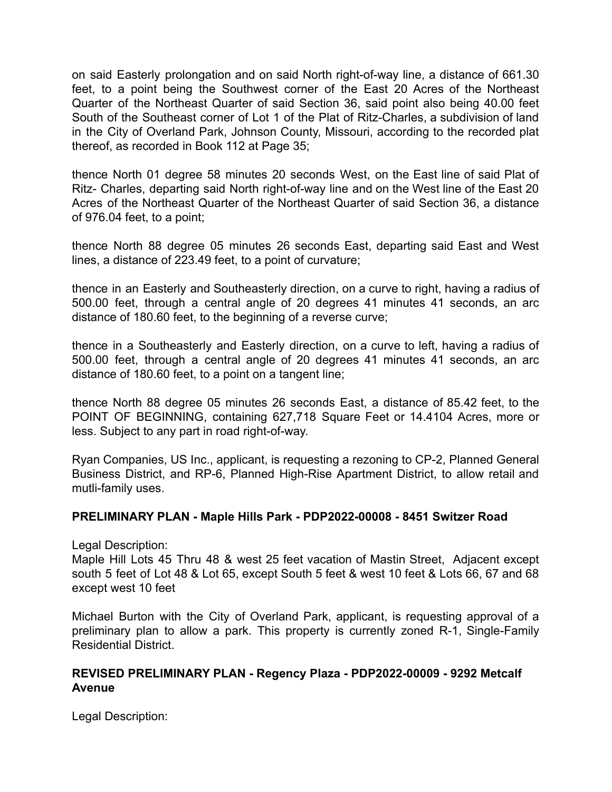on said Easterly prolongation and on said North right-of-way line, a distance of 661.30 feet, to a point being the Southwest corner of the East 20 Acres of the Northeast Quarter of the Northeast Quarter of said Section 36, said point also being 40.00 feet South of the Southeast corner of Lot 1 of the Plat of Ritz-Charles, a subdivision of land in the City of Overland Park, Johnson County, Missouri, according to the recorded plat thereof, as recorded in Book 112 at Page 35;

thence North 01 degree 58 minutes 20 seconds West, on the East line of said Plat of Ritz- Charles, departing said North right-of-way line and on the West line of the East 20 Acres of the Northeast Quarter of the Northeast Quarter of said Section 36, a distance of 976.04 feet, to a point;

thence North 88 degree 05 minutes 26 seconds East, departing said East and West lines, a distance of 223.49 feet, to a point of curvature;

thence in an Easterly and Southeasterly direction, on a curve to right, having a radius of 500.00 feet, through a central angle of 20 degrees 41 minutes 41 seconds, an arc distance of 180.60 feet, to the beginning of a reverse curve;

thence in a Southeasterly and Easterly direction, on a curve to left, having a radius of 500.00 feet, through a central angle of 20 degrees 41 minutes 41 seconds, an arc distance of 180.60 feet, to a point on a tangent line;

thence North 88 degree 05 minutes 26 seconds East, a distance of 85.42 feet, to the POINT OF BEGINNING, containing 627,718 Square Feet or 14.4104 Acres, more or less. Subject to any part in road right-of-way.

Ryan Companies, US Inc., applicant, is requesting a rezoning to CP-2, Planned General Business District, and RP-6, Planned High-Rise Apartment District, to allow retail and mutli-family uses.

### **PRELIMINARY PLAN - Maple Hills Park - PDP2022-00008 - 8451 Switzer Road**

Legal Description:

Maple Hill Lots 45 Thru 48 & west 25 feet vacation of Mastin Street, Adjacent except south 5 feet of Lot 48 & Lot 65, except South 5 feet & west 10 feet & Lots 66, 67 and 68 except west 10 feet

Michael Burton with the City of Overland Park, applicant, is requesting approval of a preliminary plan to allow a park. This property is currently zoned R-1, Single-Family Residential District.

# **REVISED PRELIMINARY PLAN - Regency Plaza - PDP2022-00009 - 9292 Metcalf Avenue**

Legal Description: